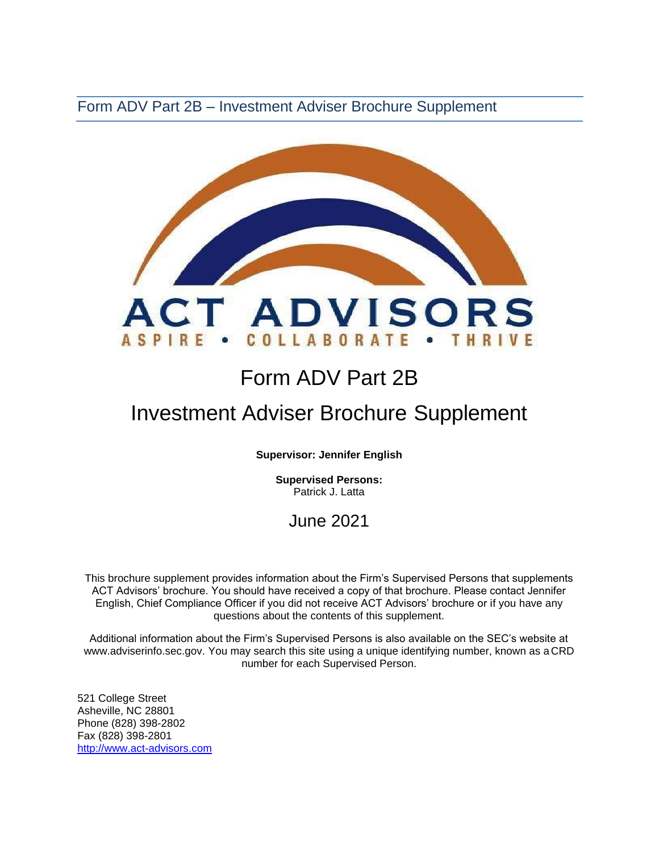Form ADV Part 2B – Investment Adviser Brochure Supplement



# Form ADV Part 2B

## Investment Adviser Brochure Supplement

**Supervisor: Jennifer English** 

**Supervised Persons:** Patrick J. Latta

### June 2021

This brochure supplement provides information about the Firm's Supervised Persons that supplements ACT Advisors' brochure. You should have received a copy of that brochure. Please contact Jennifer English, Chief Compliance Officer if you did not receive ACT Advisors' brochure or if you have any questions about the contents of this supplement.

Additional information about the Firm's Supervised Persons is also available on the SEC's website at [www.adviserinfo.sec.gov. Y](http://www.adviserinfo.sec.gov/)ou may search this site using a unique identifying number, known as a CRD number for each Supervised Person.

521 College Street Asheville, NC 28801 Phone (828) 398-2802 Fax (828) 398-2801 [http://www.act-advisors.com](http://www.act-advisors.com/)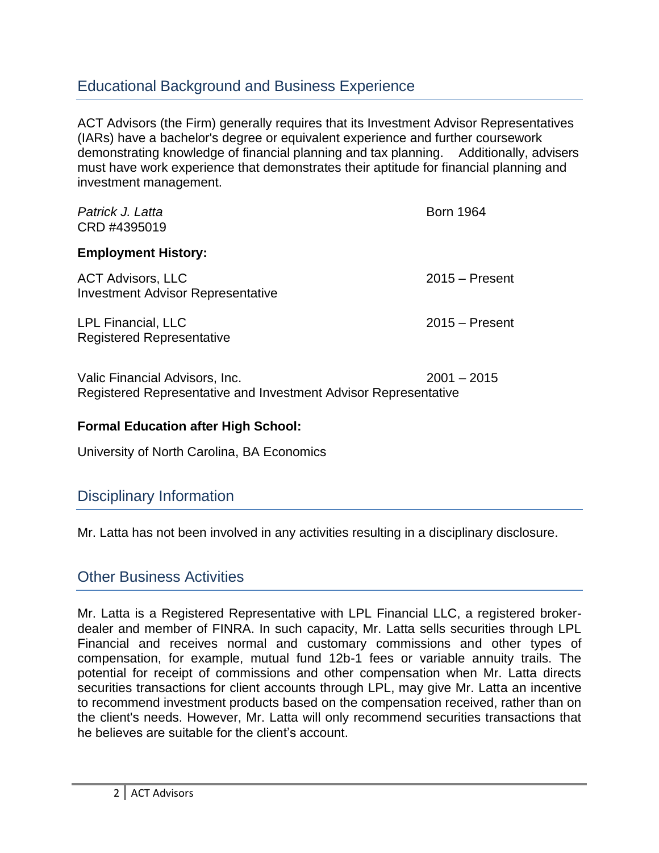### Educational Background and Business Experience

ACT Advisors (the Firm) generally requires that its Investment Advisor Representatives (IARs) have a bachelor's degree or equivalent experience and further coursework demonstrating knowledge of financial planning and tax planning. Additionally, advisers must have work experience that demonstrates their aptitude for financial planning and investment management.

| Patrick J. Latta<br>CRD #4395019                                                                  | <b>Born 1964</b> |
|---------------------------------------------------------------------------------------------------|------------------|
| <b>Employment History:</b>                                                                        |                  |
| <b>ACT Advisors, LLC</b><br><b>Investment Advisor Representative</b>                              | $2015 -$ Present |
| <b>LPL Financial, LLC</b><br><b>Registered Representative</b>                                     | $2015 -$ Present |
| Valic Financial Advisors, Inc.<br>Registered Representative and Investment Advisor Representative | $2001 - 2015$    |

#### **Formal Education after High School:**

University of North Carolina, BA Economics

#### Disciplinary Information

Mr. Latta has not been involved in any activities resulting in a disciplinary disclosure.

### Other Business Activities

Mr. Latta is a Registered Representative with LPL Financial LLC, a registered brokerdealer and member of FINRA. In such capacity, Mr. Latta sells securities through LPL Financial and receives normal and customary commissions and other types of compensation, for example, mutual fund 12b-1 fees or variable annuity trails. The potential for receipt of commissions and other compensation when Mr. Latta directs securities transactions for client accounts through LPL, may give Mr. Latta an incentive to recommend investment products based on the compensation received, rather than on the client's needs. However, Mr. Latta will only recommend securities transactions that he believes are suitable for the client's account.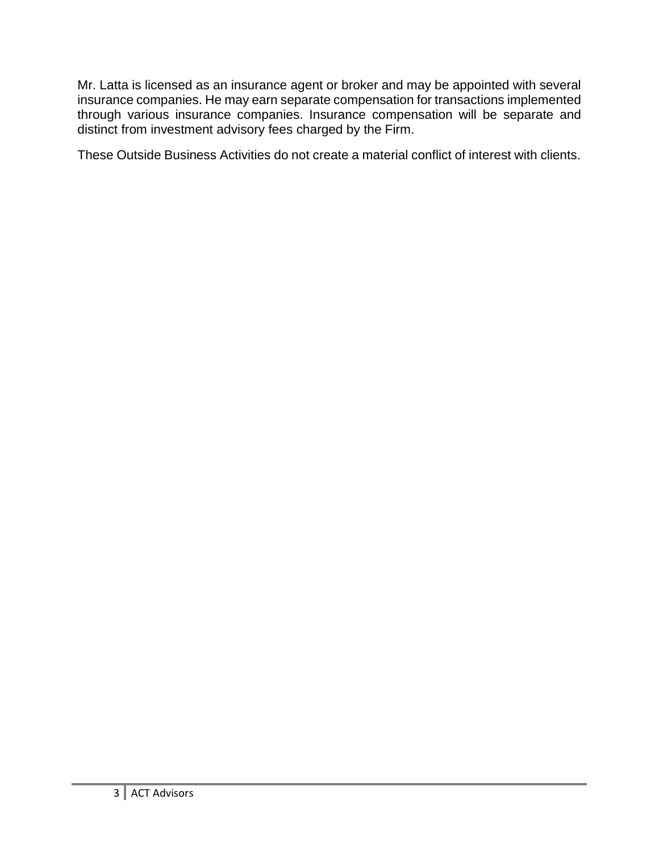Mr. Latta is licensed as an insurance agent or broker and may be appointed with several insurance companies. He may earn separate compensation for transactions implemented through various insurance companies. Insurance compensation will be separate and distinct from investment advisory fees charged by the Firm.

These Outside Business Activities do not create a material conflict of interest with clients.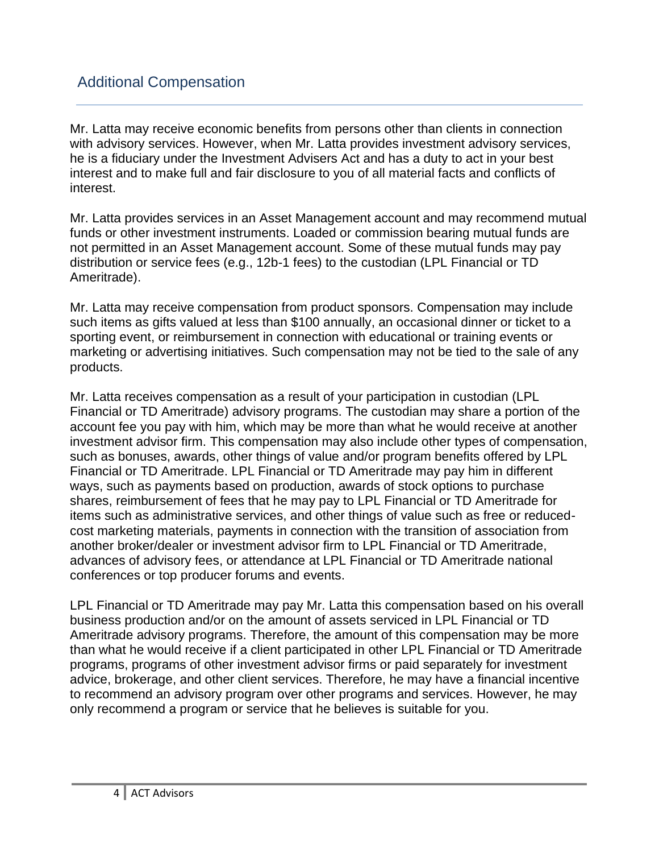Mr. Latta may receive economic benefits from persons other than clients in connection with advisory services. However, when Mr. Latta provides investment advisory services, he is a fiduciary under the Investment Advisers Act and has a duty to act in your best interest and to make full and fair disclosure to you of all material facts and conflicts of interest.

Mr. Latta provides services in an Asset Management account and may recommend mutual funds or other investment instruments. Loaded or commission bearing mutual funds are not permitted in an Asset Management account. Some of these mutual funds may pay distribution or service fees (e.g., 12b-1 fees) to the custodian (LPL Financial or TD Ameritrade).

Mr. Latta may receive compensation from product sponsors. Compensation may include such items as gifts valued at less than \$100 annually, an occasional dinner or ticket to a sporting event, or reimbursement in connection with educational or training events or marketing or advertising initiatives. Such compensation may not be tied to the sale of any products.

Mr. Latta receives compensation as a result of your participation in custodian (LPL Financial or TD Ameritrade) advisory programs. The custodian may share a portion of the account fee you pay with him, which may be more than what he would receive at another investment advisor firm. This compensation may also include other types of compensation, such as bonuses, awards, other things of value and/or program benefits offered by LPL Financial or TD Ameritrade. LPL Financial or TD Ameritrade may pay him in different ways, such as payments based on production, awards of stock options to purchase shares, reimbursement of fees that he may pay to LPL Financial or TD Ameritrade for items such as administrative services, and other things of value such as free or reducedcost marketing materials, payments in connection with the transition of association from another broker/dealer or investment advisor firm to LPL Financial or TD Ameritrade, advances of advisory fees, or attendance at LPL Financial or TD Ameritrade national conferences or top producer forums and events.

LPL Financial or TD Ameritrade may pay Mr. Latta this compensation based on his overall business production and/or on the amount of assets serviced in LPL Financial or TD Ameritrade advisory programs. Therefore, the amount of this compensation may be more than what he would receive if a client participated in other LPL Financial or TD Ameritrade programs, programs of other investment advisor firms or paid separately for investment advice, brokerage, and other client services. Therefore, he may have a financial incentive to recommend an advisory program over other programs and services. However, he may only recommend a program or service that he believes is suitable for you.